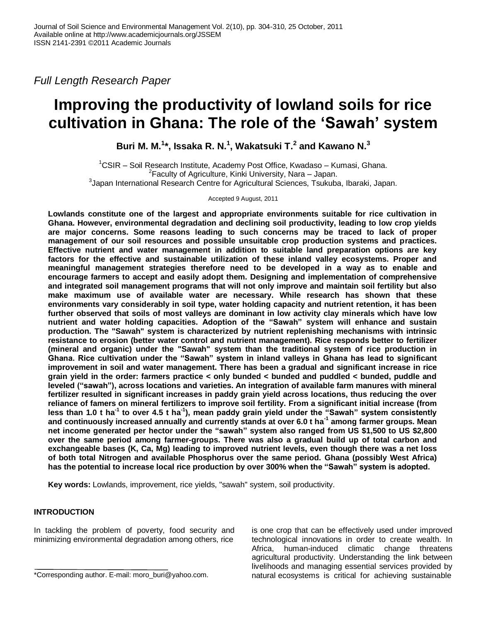*Full Length Research Paper*

# **Improving the productivity of lowland soils for rice cultivation in Ghana: The role of the "Sawah" system**

**Buri M. M. 1 \*, Issaka R. N.<sup>1</sup> , Wakatsuki T.<sup>2</sup> and Kawano N.<sup>3</sup>**

 $1$ CSIR – Soil Research Institute, Academy Post Office, Kwadaso – Kumasi, Ghana. <sup>2</sup> Faculty of Agriculture, Kinki University, Nara - Japan. 3 Japan International Research Centre for Agricultural Sciences, Tsukuba, Ibaraki, Japan.

Accepted 9 August, 2011

**Lowlands constitute one of the largest and appropriate environments suitable for rice cultivation in Ghana. However, environmental degradation and declining soil productivity, leading to low crop yields are major concerns. Some reasons leading to such concerns may be traced to lack of proper management of our soil resources and possible unsuitable crop production systems and practices. Effective nutrient and water management in addition to suitable land preparation options are key factors for the effective and sustainable utilization of these inland valley ecosystems. Proper and meaningful management strategies therefore need to be developed in a way as to enable and encourage farmers to accept and easily adopt them. Designing and implementation of comprehensive and integrated soil management programs that will not only improve and maintain soil fertility but also make maximum use of available water are necessary. While research has shown that these environments vary considerably in soil type, water holding capacity and nutrient retention, it has been further observed that soils of most valleys are dominant in low activity clay minerals which have low nutrient and water holding capacities. Adoption of the "Sawah" system will enhance and sustain production. The "Sawah" system is characterized by nutrient replenishing mechanisms with intrinsic resistance to erosion (better water control and nutrient management). Rice responds better to fertilizer (mineral and organic) under the "Sawah" system than the traditional system of rice production in Ghana. Rice cultivation under the "Sawah" system in inland valleys in Ghana has lead to significant improvement in soil and water management. There has been a gradual and significant increase in rice grain yield in the order: farmers practice < only bunded < bunded and puddled < bunded, puddle and leveled ("sawah"), across locations and varieties. An integration of available farm manures with mineral fertilizer resulted in significant increases in paddy grain yield across locations, thus reducing the over reliance of famers on mineral fertilizers to improve soil fertility. From a significant initial increase (from less than 1.0 t ha-1 to over 4.5 t ha-1 ), mean paddy grain yield under the "Sawah" system consistently and continuously increased annually and currently stands at over 6.0 t ha-1 among farmer groups. Mean net income generated per hector under the "sawah" system also ranged from US \$1,500 to US \$2,800 over the same period among farmer-groups. There was also a gradual build up of total carbon and exchangeable bases (K, Ca, Mg) leading to improved nutrient levels, even though there was a net loss of both total Nitrogen and available Phosphorus over the same period. Ghana (possibly West Africa) has the potential to increase local rice production by over 300% when the "Sawah" system is adopted.**

**Key words:** Lowlands, improvement, rice yields, "sawah" system, soil productivity.

# **INTRODUCTION**

In tackling the problem of poverty, food security and minimizing environmental degradation among others, rice

is one crop that can be effectively used under improved technological innovations in order to create wealth. In Africa, human-induced climatic change threatens agricultural productivity. Understanding the link between livelihoods and managing essential services provided by natural ecosystems is critical for achieving sustainable

<sup>\*</sup>Corresponding author. E-mail: moro\_buri@yahoo.com.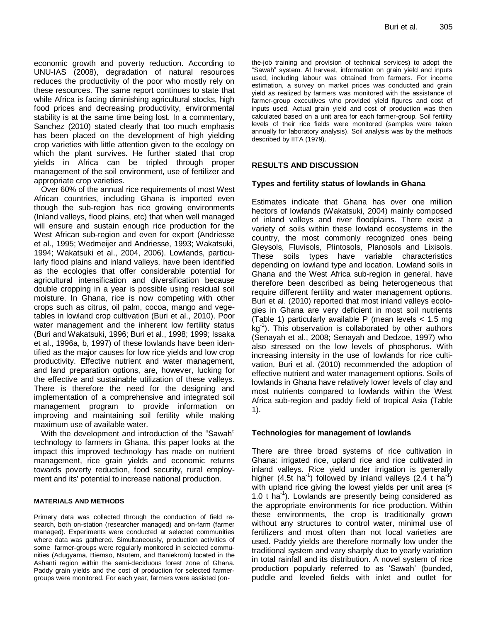economic growth and poverty reduction. According to UNU-IAS (2008), degradation of natural resources reduces the productivity of the poor who mostly rely on these resources. The same report continues to state that while Africa is facing diminishing agricultural stocks, high food prices and decreasing productivity, environmental stability is at the same time being lost. In a commentary, Sanchez (2010) stated clearly that too much emphasis has been placed on the development of high yielding crop varieties with little attention given to the ecology on which the plant survives. He further stated that crop yields in Africa can be tripled through proper management of the soil environment, use of fertilizer and appropriate crop varieties.

Over 60% of the annual rice requirements of most West African countries, including Ghana is imported even though the sub-region has rice growing environments (Inland valleys, flood plains, etc) that when well managed will ensure and sustain enough rice production for the West African sub-region and even for export (Andriesse et al., 1995; Wedmeijer and Andriesse, 1993; Wakatsuki, 1994; Wakatsuki et al., 2004, 2006). Lowlands, particularly flood plains and inland valleys, have been identified as the ecologies that offer considerable potential for agricultural intensification and diversification because double cropping in a year is possible using residual soil moisture. In Ghana, rice is now competing with other crops such as citrus, oil palm, cocoa, mango and vegetables in lowland crop cultivation (Buri et al., 2010). Poor water management and the inherent low fertility status (Buri and Wakatsuki, 1996; Buri et al., 1998; 1999; Issaka et al., 1996a, b, 1997) of these lowlands have been identified as the major causes for low rice yields and low crop productivity. Effective nutrient and water management, and land preparation options, are, however, lucking for the effective and sustainable utilization of these valleys. There is therefore the need for the designing and implementation of a comprehensive and integrated soil management program to provide information on improving and maintaining soil fertility while making maximum use of available water.

With the development and introduction of the "Sawah" technology to farmers in Ghana, this paper looks at the impact this improved technology has made on nutrient management, rice grain yields and economic returns towards poverty reduction, food security, rural employment and its' potential to increase national production.

#### **MATERIALS AND METHODS**

Primary data was collected through the conduction of field research, both on-station (researcher managed) and on-farm (farmer managed). Experiments were conducted at selected communities where data was gathered. Simultaneously, production activities of some farmer-groups were regularly monitored in selected communities (Adugyama, Biemso, Nsutem, and Baniekrom) located in the Ashanti region within the semi-deciduous forest zone of Ghana. Paddy grain yields and the cost of production for selected farmergroups were monitored. For each year, farmers were assisted (onthe-job training and provision of technical services) to adopt the "Sawah" system. At harvest, information on grain yield and inputs used, including labour was obtained from farmers. For income estimation, a survey on market prices was conducted and grain yield as realized by farmers was monitored with the assistance of farmer-group executives who provided yield figures and cost of inputs used. Actual grain yield and cost of production was then calculated based on a unit area for each farmer-group. Soil fertility levels of their rice fields were monitored (samples were taken annually for laboratory analysis). Soil analysis was by the methods described by IITA (1979).

## **RESULTS AND DISCUSSION**

## **Types and fertility status of lowlands in Ghana**

Estimates indicate that Ghana has over one million hectors of lowlands (Wakatsuki, 2004) mainly composed of inland valleys and river floodplains. There exist a variety of soils within these lowland ecosystems in the country, the most commonly recognized ones being Gleysols, Fluvisols, Plintosols, Planosols and Lixisols. These soils types have variable characteristics depending on lowland type and location. Lowland soils in Ghana and the West Africa sub-region in general, have therefore been described as being heterogeneous that require different fertility and water management options. Buri et al. (2010) reported that most inland valleys ecologies in Ghana are very deficient in most soil nutrients (Table 1) particularly available P (mean levels < 1.5 mg kg-1 ). This observation is collaborated by other authors (Senayah et al., 2008; Senayah and Dedzoe, 1997) who also stressed on the low levels of phosphorus. With increasing intensity in the use of lowlands for rice cultivation, Buri et al. (2010) recommended the adoption of effective nutrient and water management options. Soils of lowlands in Ghana have relatively lower levels of clay and most nutrients compared to lowlands within the West Africa sub-region and paddy field of tropical Asia (Table 1).

## **Technologies for management of lowlands**

There are three broad systems of rice cultivation in Ghana: irrigated rice, upland rice and rice cultivated in inland valleys. Rice yield under irrigation is generally higher  $(4.5t \text{ ha}^{-1})$  followed by inland valleys  $(2.4 \text{ t} \text{ ha}^{-1})$ with upland rice giving the lowest yields per unit area  $(≤$ 1.0 t ha-1 ). Lowlands are presently being considered as the appropriate environments for rice production. Within these environments, the crop is traditionally grown without any structures to control water, minimal use of fertilizers and most often than not local varieties are used. Paddy yields are therefore normally low under the traditional system and vary sharply due to yearly variation in total rainfall and its distribution. A novel system of rice production popularly referred to as "Sawah" (bunded, puddle and leveled fields with inlet and outlet for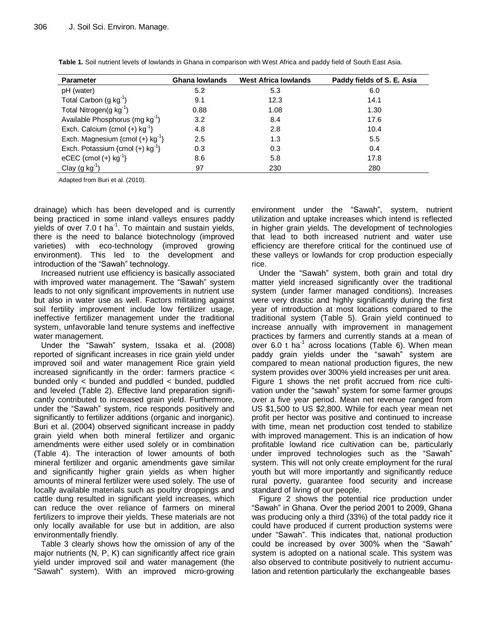| <b>Parameter</b>                               | <b>Ghana lowlands</b> | <b>West Africa lowlands</b> | Paddy fields of S. E. Asia |
|------------------------------------------------|-----------------------|-----------------------------|----------------------------|
| pH (water)                                     | 5.2                   | 5.3                         | 6.0                        |
| Total Carbon $(g kg^{-1})$                     | 9.1                   | 12.3                        | 14.1                       |
| Total Nitrogen(g $kg^{-1}$ )                   | 0.88                  | 1.08                        | 1.30                       |
| Available Phosphorus (mg $kg^{-1}$ )           | 3.2                   | 8.4                         | 17.6                       |
| Exch. Calcium {cmol (+) $kg^{-1}$ }            | 4.8                   | 2.8                         | 10.4                       |
| Exch. Magnesium {cmol $(+)$ kg <sup>-1</sup> } | 2.5                   | 1.3                         | 5.5                        |
| Exch. Potassium {cmol (+) $kg^{-1}$ }          | 0.3                   | 0.3                         | 0.4                        |
| eCEC {cmol (+) $kg^{-1}$ }                     | 8.6                   | 5.8                         | 17.8                       |
| Clay (g $kg^{-1}$ )                            | 97                    | 230                         | 280                        |

**Table 1.** Soil nutrient levels of lowlands in Ghana in comparison with West Africa and paddy field of South East Asia.

Adapted from Buri et al. (2010).

drainage) which has been developed and is currently being practiced in some inland valleys ensures paddy yields of over  $7.0$  t ha<sup>-1</sup>. To maintain and sustain yields, there is the need to balance biotechnology (improved varieties) with eco-technology (improved growing environment). This led to the development and introduction of the "Sawah" technology.

Increased nutrient use efficiency is basically associated with improved water management. The "Sawah" system leads to not only significant improvements in nutrient use but also in water use as well. Factors militating against soil fertility improvement include low fertilizer usage, ineffective fertilizer management under the traditional system, unfavorable land tenure systems and ineffective water management.

Under the "Sawah" system, Issaka et al. (2008) reported of significant increases in rice grain yield under improved soil and water management Rice grain yield increased significantly in the order: farmers practice < bunded only < bunded and puddled < bunded, puddled and leveled (Table 2). Effective land preparation significantly contributed to increased grain yield. Furthermore, under the "Sawah" system, rice responds positively and significantly to fertilizer additions (organic and inorganic). Buri et al. (2004) observed significant increase in paddy grain yield when both mineral fertilizer and organic amendments were either used solely or in combination (Table 4). The interaction of lower amounts of both mineral fertilizer and organic amendments gave similar and significantly higher grain yields as when higher amounts of mineral fertilizer were used solely. The use of locally available materials such as poultry droppings and cattle dung resulted in significant yield increases, which can reduce the over reliance of farmers on mineral fertilizers to improve their yields. These materials are not only locally available for use but in addition, are also environmentally friendly.

Table 3 clearly shows how the omission of any of the major nutrients (N, P, K) can significantly affect rice grain yield under improved soil and water management (the "Sawah" system). With an improved micro-growing

environment under the "Sawah", system, nutrient utilization and uptake increases which intend is reflected in higher grain yields. The development of technologies that lead to both increased nutrient and water use efficiency are therefore critical for the continued use of these valleys or lowlands for crop production especially rice.

Under the "Sawah" system, both grain and total dry matter yield increased significantly over the traditional system (under farmer managed conditions). Increases were very drastic and highly significantly during the first year of introduction at most locations compared to the traditional system (Table 5). Grain yield continued to increase annually with improvement in management practices by farmers and currently stands at a mean of over 6.0  $t$  ha<sup>-1</sup> across locations (Table 6). When mean paddy grain yields under the "sawah" system are compared to mean national production figures, the new system provides over 300% yield increases per unit area. Figure 1 shows the net profit accrued from rice cultivation under the "sawah" system for some farmer groups over a five year period. Mean net revenue ranged from US \$1,500 to US \$2,800. While for each year mean net profit per hector was positive and continued to increase with time, mean net production cost tended to stabilize with improved management. This is an indication of how profitable lowland rice cultivation can be, particularly under improved technologies such as the "Sawah" system. This will not only create employment for the rural youth but will more importantly and significantly reduce rural poverty, guarantee food security and increase standard of living of our people.

Figure 2 shows the potential rice production under "Sawah" in Ghana. Over the period 2001 to 2009, Ghana was producing only a third (33%) of the total paddy rice it could have produced if current production systems were under "Sawah". This indicates that, national production could be increased by over 300% when the "Sawah" system is adopted on a national scale. This system was also observed to contribute positively to nutrient accumulation and retention particularly the exchangeable bases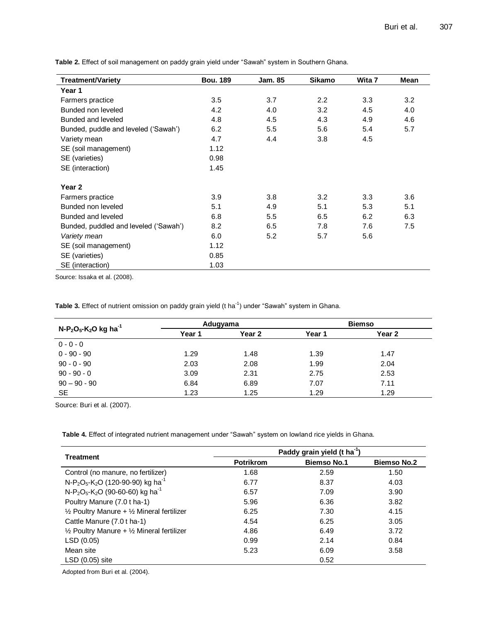| <b>Treatment/Variety</b>              | <b>Bou. 189</b> | Jam. 85 | Sikamo | Wita 7 | Mean |
|---------------------------------------|-----------------|---------|--------|--------|------|
| Year 1                                |                 |         |        |        |      |
| Farmers practice                      | 3.5             | 3.7     | 2.2    | 3.3    | 3.2  |
| Bunded non leveled                    | 4.2             | 4.0     | 3.2    | 4.5    | 4.0  |
| Bunded and leveled                    | 4.8             | 4.5     | 4.3    | 4.9    | 4.6  |
| Bunded, puddle and leveled ('Sawah')  | 6.2             | 5.5     | 5.6    | 5.4    | 5.7  |
| Variety mean                          | 4.7             | 4.4     | 3.8    | 4.5    |      |
| SE (soil management)                  | 1.12            |         |        |        |      |
| SE (varieties)                        | 0.98            |         |        |        |      |
| SE (interaction)                      | 1.45            |         |        |        |      |
| Year 2                                |                 |         |        |        |      |
| Farmers practice                      | 3.9             | 3.8     | 3.2    | 3.3    | 3.6  |
| Bunded non leveled                    | 5.1             | 4.9     | 5.1    | 5.3    | 5.1  |
| Bunded and leveled                    | 6.8             | 5.5     | 6.5    | 6.2    | 6.3  |
| Bunded, puddled and leveled ('Sawah') | 8.2             | 6.5     | 7.8    | 7.6    | 7.5  |
| Variety mean                          | 6.0             | 5.2     | 5.7    | 5.6    |      |
| SE (soil management)                  | 1.12            |         |        |        |      |
| SE (varieties)                        | 0.85            |         |        |        |      |
| SE (interaction)                      | 1.03            |         |        |        |      |

**Table 2.** Effect of soil management on paddy grain yield under "Sawah" system in Southern Ghana.

Source: Issaka et al. (2008).

Table 3. Effect of nutrient omission on paddy grain yield (t ha<sup>-1</sup>) under "Sawah" system in Ghana.

| $N-P_2O_5-K_2O$ kg ha <sup>-1</sup> |        | Adugyama |        | <b>Biemso</b> |  |  |
|-------------------------------------|--------|----------|--------|---------------|--|--|
|                                     | Year 1 | Year 2   | Year 1 | Year 2        |  |  |
| $0 - 0 - 0$                         |        |          |        |               |  |  |
| $0 - 90 - 90$                       | 1.29   | 1.48     | 1.39   | 1.47          |  |  |
| $90 - 0 - 90$                       | 2.03   | 2.08     | 1.99   | 2.04          |  |  |
| $90 - 90 - 0$                       | 3.09   | 2.31     | 2.75   | 2.53          |  |  |
| $90 - 90 - 90$                      | 6.84   | 6.89     | 7.07   | 7.11          |  |  |
| <b>SE</b>                           | 1.23   | 1.25     | 1.29   | 1.29          |  |  |

Source: Buri et al. (2007).

**Table 4.** Effect of integrated nutrient management under "Sawah" system on lowland rice yields in Ghana.

|                                                                                   | Paddy grain yield (t ha <sup>-1</sup> |                    |                    |  |  |  |
|-----------------------------------------------------------------------------------|---------------------------------------|--------------------|--------------------|--|--|--|
| <b>Treatment</b>                                                                  | <b>Potrikrom</b>                      | <b>Biemso No.1</b> | <b>Biemso No.2</b> |  |  |  |
| Control (no manure, no fertilizer)                                                | 1.68                                  | 2.59               | 1.50               |  |  |  |
| N-P <sub>2</sub> O <sub>5</sub> -K <sub>2</sub> O (120-90-90) kg ha <sup>-1</sup> | 6.77                                  | 8.37               | 4.03               |  |  |  |
| N-P <sub>2</sub> O <sub>5</sub> -K <sub>2</sub> O (90-60-60) kg ha <sup>-1</sup>  | 6.57                                  | 7.09               | 3.90               |  |  |  |
| Poultry Manure (7.0 t ha-1)                                                       | 5.96                                  | 6.36               | 3.82               |  |  |  |
| $\frac{1}{2}$ Poultry Manure + $\frac{1}{2}$ Mineral fertilizer                   | 6.25                                  | 7.30               | 4.15               |  |  |  |
| Cattle Manure (7.0 t ha-1)                                                        | 4.54                                  | 6.25               | 3.05               |  |  |  |
| $\frac{1}{2}$ Poultry Manure + $\frac{1}{2}$ Mineral fertilizer                   | 4.86                                  | 6.49               | 3.72               |  |  |  |
| LSD(0.05)                                                                         | 0.99                                  | 2.14               | 0.84               |  |  |  |
| Mean site                                                                         | 5.23                                  | 6.09               | 3.58               |  |  |  |
| $LSD(0.05)$ site                                                                  |                                       | 0.52               |                    |  |  |  |

Adopted from Buri et al. (2004).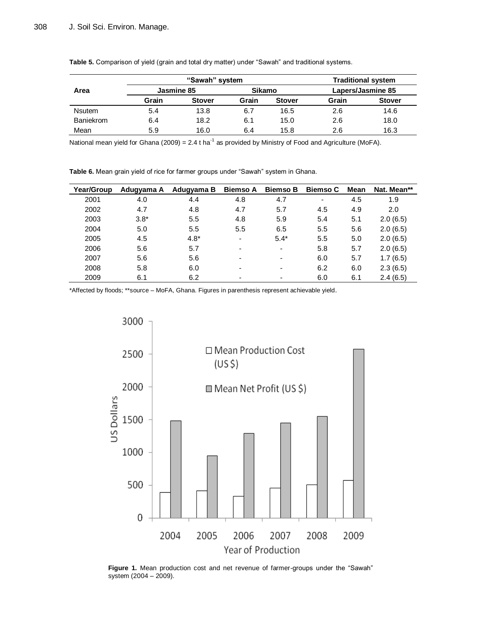|               | "Sawah" system |               |        |               | <b>Traditional system</b> |               |  |
|---------------|----------------|---------------|--------|---------------|---------------------------|---------------|--|
| Area          | Jasmine 85     |               | Sikamo |               | Lapers/Jasmine 85         |               |  |
|               | Grain          | <b>Stover</b> | Grain  | <b>Stover</b> | Grain                     | <b>Stover</b> |  |
| <b>Nsutem</b> | 5.4            | 13.8          | 6.7    | 16.5          | 2.6                       | 14.6          |  |
| Baniekrom     | 6.4            | 18.2          | 6.1    | 15.0          | 2.6                       | 18.0          |  |
| Mean          | 5.9            | 16.0          | 6.4    | 15.8          | 2.6                       | 16.3          |  |

**Table 5.** Comparison of yield (grain and total dry matter) under "Sawah" and traditional systems.

National mean yield for Ghana (2009) = 2.4 t ha<sup>-1</sup> as provided by Ministry of Food and Agriculture (MoFA).

**Table 6.** Mean grain yield of rice for farmer groups under "Sawah" system in Ghana.

| Year/Group | Adugyama A | Adugyama B | <b>Biemso A</b>          | <b>Biemso B</b>          | <b>Biemso C</b>          | Mean | Nat. Mean** |
|------------|------------|------------|--------------------------|--------------------------|--------------------------|------|-------------|
| 2001       | 4.0        | 4.4        | 4.8                      | 4.7                      | $\overline{\phantom{a}}$ | 4.5  | 1.9         |
| 2002       | 4.7        | 4.8        | 4.7                      | 5.7                      | 4.5                      | 4.9  | 2.0         |
| 2003       | $3.8*$     | 5.5        | 4.8                      | 5.9                      | 5.4                      | 5.1  | 2.0(6.5)    |
| 2004       | 5.0        | 5.5        | 5.5                      | 6.5                      | 5.5                      | 5.6  | 2.0(6.5)    |
| 2005       | 4.5        | $4.8*$     | $\blacksquare$           | $5.4*$                   | 5.5                      | 5.0  | 2.0(6.5)    |
| 2006       | 5.6        | 5.7        | $\overline{\phantom{a}}$ | $\overline{\phantom{a}}$ | 5.8                      | 5.7  | 2.0(6.5)    |
| 2007       | 5.6        | 5.6        | $\overline{\phantom{0}}$ | $\overline{\phantom{0}}$ | 6.0                      | 5.7  | 1.7(6.5)    |
| 2008       | 5.8        | 6.0        | $\overline{\phantom{a}}$ | $\overline{\phantom{0}}$ | 6.2                      | 6.0  | 2.3(6.5)    |
| 2009       | 6.1        | 6.2        | $\overline{\phantom{0}}$ | $\overline{\phantom{0}}$ | 6.0                      | 6.1  | 2.4(6.5)    |

\*Affected by floods; \*\*source – MoFA, Ghana. Figures in parenthesis represent achievable yield.



**Figure 1.** Mean production cost and net revenue of farmer-groups under the "Sawah" system (2004 – 2009).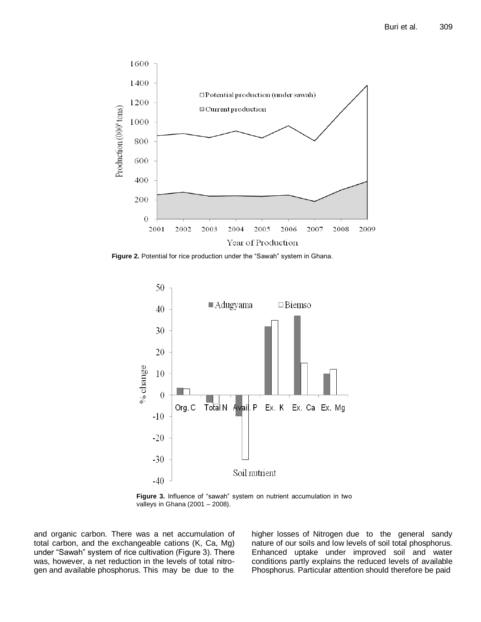

**Figure 2.** Potential for rice production under the "Sawah" system in Ghana.



**Figure 3.** Influence of "sawah" system on nutrient accumulation in two valleys in Ghana (2001 – 2008).

and organic carbon. There was a net accumulation of total carbon, and the exchangeable cations (K, Ca, Mg) under "Sawah" system of rice cultivation (Figure 3). There was, however, a net reduction in the levels of total nitrogen and available phosphorus. This may be due to the

higher losses of Nitrogen due to the general sandy nature of our soils and low levels of soil total phosphorus. Enhanced uptake under improved soil and water conditions partly explains the reduced levels of available Phosphorus. Particular attention should therefore be paid